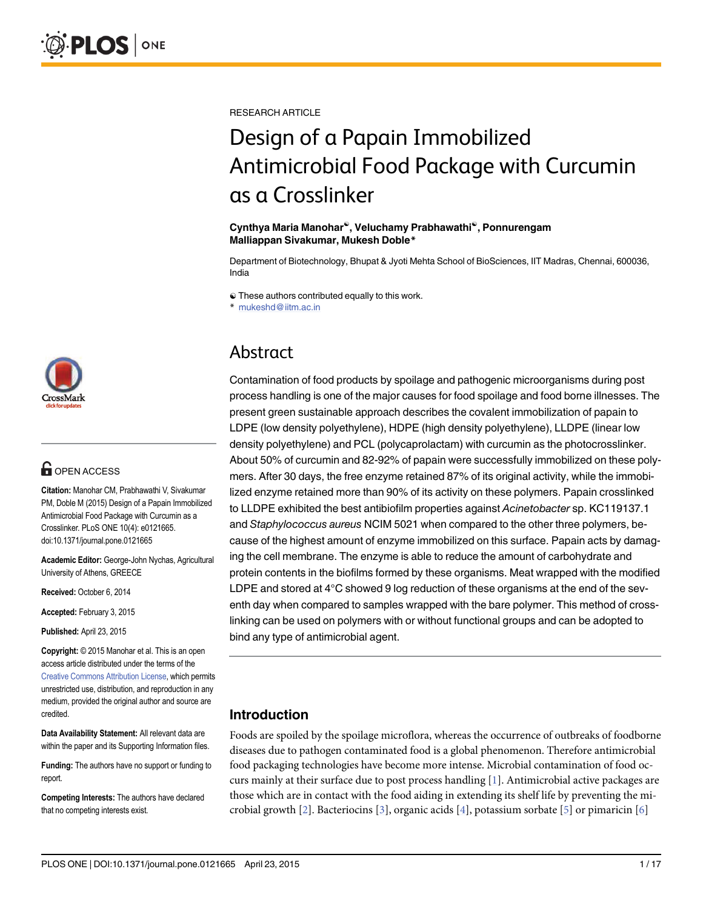

# **OPEN ACCESS**

Citation: Manohar CM, Prabhawathi V, Sivakumar PM, Doble M (2015) Design of a Papain Immobilized Antimicrobial Food Package with Curcumin as a Crosslinker. PLoS ONE 10(4): e0121665. doi:10.1371/journal.pone.0121665

Academic Editor: George-John Nychas, Agricultural University of Athens, GREECE

Received: October 6, 2014

Accepted: February 3, 2015

Published: April 23, 2015

Copyright: © 2015 Manohar et al. This is an open access article distributed under the terms of the [Creative Commons Attribution License,](http://creativecommons.org/licenses/by/4.0/) which permits unrestricted use, distribution, and reproduction in any medium, provided the original author and source are credited.

Data Availability Statement: All relevant data are within the paper and its Supporting Information files.

Funding: The authors have no support or funding to report.

Competing Interests: The authors have declared that no competing interests exist.

<span id="page-0-0"></span>RESEARCH ARTICLE

# Design of a Papain Immobilized Antimicrobial Food Package with Curcumin as a Crosslinker

#### Cynthya Maria Manohar☯, Veluchamy Prabhawathi☯, Ponnurengam Malliappan Sivakumar, Mukesh Doble\*

Department of Biotechnology, Bhupat & Jyoti Mehta School of BioSciences, IIT Madras, Chennai, 600036, India

☯ These authors contributed equally to this work.

\* mukeshd@iitm.ac.in

## Abstract

Contamination of food products by spoilage and pathogenic microorganisms during post process handling is one of the major causes for food spoilage and food borne illnesses. The present green sustainable approach describes the covalent immobilization of papain to LDPE (low density polyethylene), HDPE (high density polyethylene), LLDPE (linear low density polyethylene) and PCL (polycaprolactam) with curcumin as the photocrosslinker. About 50% of curcumin and 82-92% of papain were successfully immobilized on these polymers. After 30 days, the free enzyme retained 87% of its original activity, while the immobilized enzyme retained more than 90% of its activity on these polymers. Papain crosslinked to LLDPE exhibited the best antibiofilm properties against Acinetobacter sp. KC119137.1 and Staphylococcus aureus NCIM 5021 when compared to the other three polymers, because of the highest amount of enzyme immobilized on this surface. Papain acts by damaging the cell membrane. The enzyme is able to reduce the amount of carbohydrate and protein contents in the biofilms formed by these organisms. Meat wrapped with the modified LDPE and stored at 4°C showed 9 log reduction of these organisms at the end of the seventh day when compared to samples wrapped with the bare polymer. This method of crosslinking can be used on polymers with or without functional groups and can be adopted to bind any type of antimicrobial agent.

## Introduction

Foods are spoiled by the spoilage microflora, whereas the occurrence of outbreaks of foodborne diseases due to pathogen contaminated food is a global phenomenon. Therefore antimicrobial food packaging technologies have become more intense. Microbial contamination of food occurs mainly at their surface due to post process handling  $[1]$  $[1]$  $[1]$ . Antimicrobial active packages are those which are in contact with the food aiding in extending its shelf life by preventing the mi-crobial growth [[2](#page-14-0)]. Bacteriocins [\[3](#page-14-0)], organic acids [[4\]](#page-14-0), potassium sorbate [[5\]](#page-14-0) or pimaricin [[6\]](#page-14-0)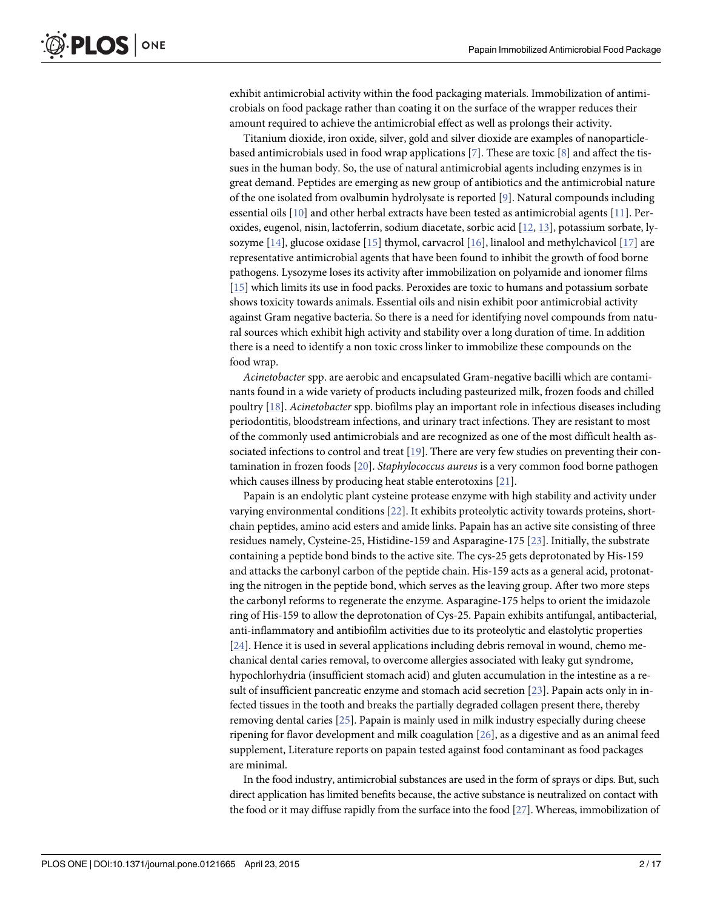<span id="page-1-0"></span>exhibit antimicrobial activity within the food packaging materials. Immobilization of antimicrobials on food package rather than coating it on the surface of the wrapper reduces their amount required to achieve the antimicrobial effect as well as prolongs their activity.

Titanium dioxide, iron oxide, silver, gold and silver dioxide are examples of nanoparticlebased antimicrobials used in food wrap applications [[7\]](#page-14-0). These are toxic [[8\]](#page-14-0) and affect the tissues in the human body. So, the use of natural antimicrobial agents including enzymes is in great demand. Peptides are emerging as new group of antibiotics and the antimicrobial nature of the one isolated from ovalbumin hydrolysate is reported [[9\]](#page-14-0). Natural compounds including essential oils [\[10\]](#page-14-0) and other herbal extracts have been tested as antimicrobial agents [\[11\]](#page-14-0). Peroxides, eugenol, nisin, lactoferrin, sodium diacetate, sorbic acid [[12,](#page-14-0) [13\]](#page-14-0), potassium sorbate, lysozyme [\[14\]](#page-14-0), glucose oxidase [[15](#page-14-0)] thymol, carvacrol [[16\]](#page-14-0), linalool and methylchavicol [[17](#page-14-0)] are representative antimicrobial agents that have been found to inhibit the growth of food borne pathogens. Lysozyme loses its activity after immobilization on polyamide and ionomer films [\[15](#page-14-0)] which limits its use in food packs. Peroxides are toxic to humans and potassium sorbate shows toxicity towards animals. Essential oils and nisin exhibit poor antimicrobial activity against Gram negative bacteria. So there is a need for identifying novel compounds from natural sources which exhibit high activity and stability over a long duration of time. In addition there is a need to identify a non toxic cross linker to immobilize these compounds on the food wrap.

Acinetobacter spp. are aerobic and encapsulated Gram-negative bacilli which are contaminants found in a wide variety of products including pasteurized milk, frozen foods and chilled poultry [[18](#page-14-0)]. Acinetobacter spp. biofilms play an important role in infectious diseases including periodontitis, bloodstream infections, and urinary tract infections. They are resistant to most of the commonly used antimicrobials and are recognized as one of the most difficult health associated infections to control and treat [\[19](#page-14-0)]. There are very few studies on preventing their contamination in frozen foods [\[20\]](#page-14-0). Staphylococcus aureus is a very common food borne pathogen which causes illness by producing heat stable enterotoxins [\[21\]](#page-15-0).

Papain is an endolytic plant cysteine protease enzyme with high stability and activity under varying environmental conditions [\[22](#page-15-0)]. It exhibits proteolytic activity towards proteins, shortchain peptides, amino acid esters and amide links. Papain has an active site consisting of three residues namely, Cysteine-25, Histidine-159 and Asparagine-175 [[23](#page-15-0)]. Initially, the substrate containing a peptide bond binds to the active site. The cys-25 gets deprotonated by His-159 and attacks the carbonyl carbon of the peptide chain. His-159 acts as a general acid, protonating the nitrogen in the peptide bond, which serves as the leaving group. After two more steps the carbonyl reforms to regenerate the enzyme. Asparagine-175 helps to orient the imidazole ring of His-159 to allow the deprotonation of Cys-25. Papain exhibits antifungal, antibacterial, anti-inflammatory and antibiofilm activities due to its proteolytic and elastolytic properties [\[24](#page-15-0)]. Hence it is used in several applications including debris removal in wound, chemo mechanical dental caries removal, to overcome allergies associated with leaky gut syndrome, hypochlorhydria (insufficient stomach acid) and gluten accumulation in the intestine as a result of insufficient pancreatic enzyme and stomach acid secretion [\[23\]](#page-15-0). Papain acts only in infected tissues in the tooth and breaks the partially degraded collagen present there, thereby removing dental caries [[25](#page-15-0)]. Papain is mainly used in milk industry especially during cheese ripening for flavor development and milk coagulation [\[26\]](#page-15-0), as a digestive and as an animal feed supplement, Literature reports on papain tested against food contaminant as food packages are minimal.

In the food industry, antimicrobial substances are used in the form of sprays or dips. But, such direct application has limited benefits because, the active substance is neutralized on contact with the food or it may diffuse rapidly from the surface into the food  $[27]$  $[27]$ . Whereas, immobilization of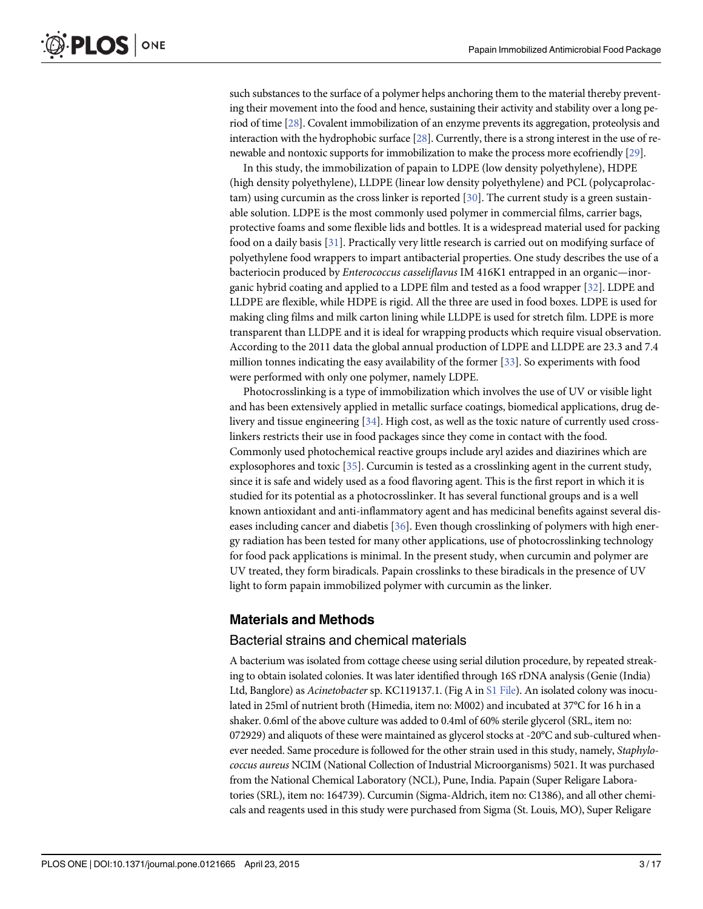<span id="page-2-0"></span>such substances to the surface of a polymer helps anchoring them to the material thereby preventing their movement into the food and hence, sustaining their activity and stability over a long period of time [\[28](#page-15-0)]. Covalent immobilization of an enzyme prevents its aggregation, proteolysis and interaction with the hydrophobic surface [[28](#page-15-0)]. Currently, there is a strong interest in the use of renewable and nontoxic supports for immobilization to make the process more ecofriendly [\[29](#page-15-0)].

In this study, the immobilization of papain to LDPE (low density polyethylene), HDPE (high density polyethylene), LLDPE (linear low density polyethylene) and PCL (polycaprolactam) using curcumin as the cross linker is reported [[30](#page-15-0)]. The current study is a green sustainable solution. LDPE is the most commonly used polymer in commercial films, carrier bags, protective foams and some flexible lids and bottles. It is a widespread material used for packing food on a daily basis [[31\]](#page-15-0). Practically very little research is carried out on modifying surface of polyethylene food wrappers to impart antibacterial properties. One study describes the use of a bacteriocin produced by Enterococcus casseliflavus IM 416K1 entrapped in an organic—inorganic hybrid coating and applied to a LDPE film and tested as a food wrapper [[32](#page-15-0)]. LDPE and LLDPE are flexible, while HDPE is rigid. All the three are used in food boxes. LDPE is used for making cling films and milk carton lining while LLDPE is used for stretch film. LDPE is more transparent than LLDPE and it is ideal for wrapping products which require visual observation. According to the 2011 data the global annual production of LDPE and LLDPE are 23.3 and 7.4 million tonnes indicating the easy availability of the former [\[33\]](#page-15-0). So experiments with food were performed with only one polymer, namely LDPE.

Photocrosslinking is a type of immobilization which involves the use of UV or visible light and has been extensively applied in metallic surface coatings, biomedical applications, drug delivery and tissue engineering  $[34]$  $[34]$  $[34]$ . High cost, as well as the toxic nature of currently used crosslinkers restricts their use in food packages since they come in contact with the food. Commonly used photochemical reactive groups include aryl azides and diazirines which are explosophores and toxic [[35](#page-15-0)]. Curcumin is tested as a crosslinking agent in the current study, since it is safe and widely used as a food flavoring agent. This is the first report in which it is studied for its potential as a photocrosslinker. It has several functional groups and is a well known antioxidant and anti-inflammatory agent and has medicinal benefits against several diseases including cancer and diabetis [[36](#page-15-0)]. Even though crosslinking of polymers with high energy radiation has been tested for many other applications, use of photocrosslinking technology for food pack applications is minimal. In the present study, when curcumin and polymer are UV treated, they form biradicals. Papain crosslinks to these biradicals in the presence of UV light to form papain immobilized polymer with curcumin as the linker.

## Materials and Methods

#### Bacterial strains and chemical materials

A bacterium was isolated from cottage cheese using serial dilution procedure, by repeated streaking to obtain isolated colonies. It was later identified through 16S rDNA analysis (Genie (India) Ltd, Banglore) as Acinetobacter sp. KC119137.1. (Fig A in [S1 File](#page-13-0)). An isolated colony was inoculated in 25ml of nutrient broth (Himedia, item no: M002) and incubated at 37°C for 16 h in a shaker. 0.6ml of the above culture was added to 0.4ml of 60% sterile glycerol (SRL, item no: 072929) and aliquots of these were maintained as glycerol stocks at -20°C and sub-cultured whenever needed. Same procedure is followed for the other strain used in this study, namely, Staphylococcus aureus NCIM (National Collection of Industrial Microorganisms) 5021. It was purchased from the National Chemical Laboratory (NCL), Pune, India. Papain (Super Religare Laboratories (SRL), item no: 164739). Curcumin (Sigma-Aldrich, item no: C1386), and all other chemicals and reagents used in this study were purchased from Sigma (St. Louis, MO), Super Religare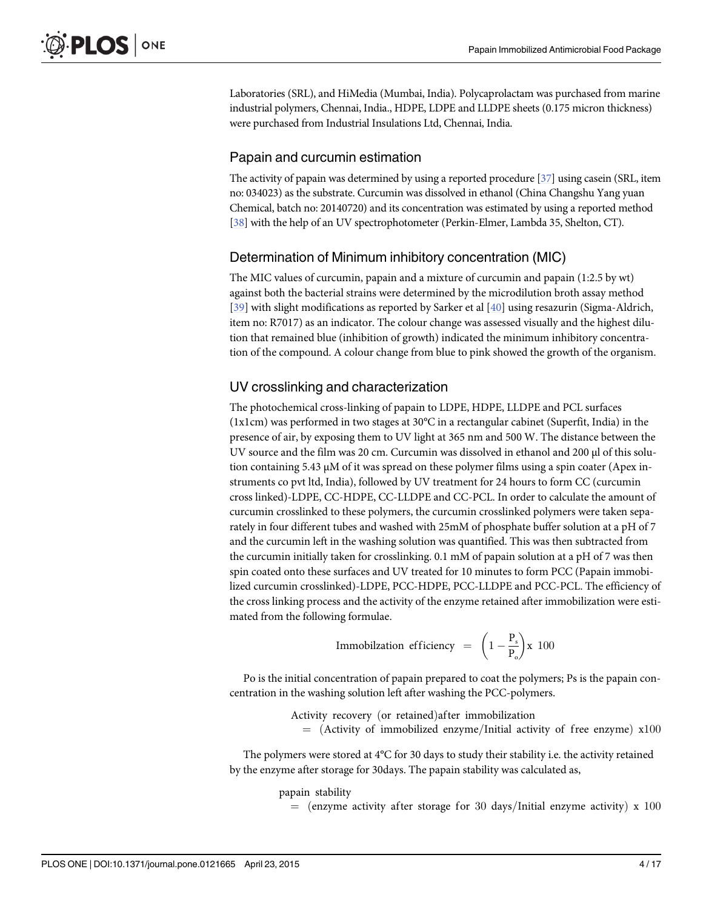<span id="page-3-0"></span>Laboratories (SRL), and HiMedia (Mumbai, India). Polycaprolactam was purchased from marine industrial polymers, Chennai, India., HDPE, LDPE and LLDPE sheets (0.175 micron thickness) were purchased from Industrial Insulations Ltd, Chennai, India.

## Papain and curcumin estimation

The activity of papain was determined by using a reported procedure [\[37](#page-15-0)] using casein (SRL, item no: 034023) as the substrate. Curcumin was dissolved in ethanol (China Changshu Yang yuan Chemical, batch no: 20140720) and its concentration was estimated by using a reported method [\[38\]](#page-15-0) with the help of an UV spectrophotometer (Perkin-Elmer, Lambda 35, Shelton, CT).

#### Determination of Minimum inhibitory concentration (MIC)

The MIC values of curcumin, papain and a mixture of curcumin and papain (1:2.5 by wt) against both the bacterial strains were determined by the microdilution broth assay method [\[39](#page-15-0)] with slight modifications as reported by Sarker et al [\[40\]](#page-15-0) using resazurin (Sigma-Aldrich, item no: R7017) as an indicator. The colour change was assessed visually and the highest dilution that remained blue (inhibition of growth) indicated the minimum inhibitory concentration of the compound. A colour change from blue to pink showed the growth of the organism.

#### UV crosslinking and characterization

The photochemical cross-linking of papain to LDPE, HDPE, LLDPE and PCL surfaces (1x1cm) was performed in two stages at 30°C in a rectangular cabinet (Superfit, India) in the presence of air, by exposing them to UV light at 365 nm and 500 W. The distance between the UV source and the film was 20 cm. Curcumin was dissolved in ethanol and 200 μl of this solution containing 5.43 μM of it was spread on these polymer films using a spin coater (Apex instruments co pvt ltd, India), followed by UV treatment for 24 hours to form CC (curcumin cross linked)-LDPE, CC-HDPE, CC-LLDPE and CC-PCL. In order to calculate the amount of curcumin crosslinked to these polymers, the curcumin crosslinked polymers were taken separately in four different tubes and washed with 25mM of phosphate buffer solution at a pH of 7 and the curcumin left in the washing solution was quantified. This was then subtracted from the curcumin initially taken for crosslinking. 0.1 mM of papain solution at a pH of 7 was then spin coated onto these surfaces and UV treated for 10 minutes to form PCC (Papain immobilized curcumin crosslinked)-LDPE, PCC-HDPE, PCC-LLDPE and PCC-PCL. The efficiency of the cross linking process and the activity of the enzyme retained after immobilization were estimated from the following formulae.

Immobilzation efficiency = 
$$
\left(1 - \frac{P_s}{P_o}\right) x 100
$$

Po is the initial concentration of papain prepared to coat the polymers; Ps is the papain concentration in the washing solution left after washing the PCC-polymers.

> Activity recovery (or retained) after immobilization  $=$  (Activity of immobilized enzyme/Initial activity of free enzyme)  $x100$

The polymers were stored at 4°C for 30 days to study their stability i.e. the activity retained by the enzyme after storage for 30days. The papain stability was calculated as,

papain stability

 $=$  (enzyme activity after storage for 30 days/Initial enzyme activity) x 100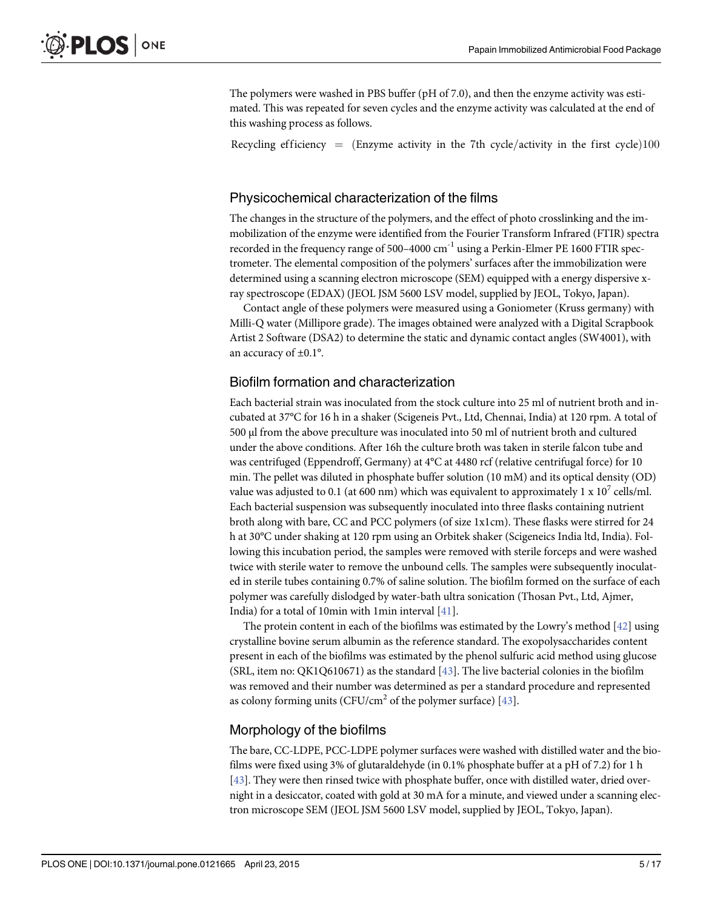<span id="page-4-0"></span>The polymers were washed in PBS buffer (pH of 7.0), and then the enzyme activity was estimated. This was repeated for seven cycles and the enzyme activity was calculated at the end of this washing process as follows.

Recycling efficiency  $=$  (Enzyme activity in the 7th cycle/activity in the first cycle)100

## Physicochemical characterization of the films

The changes in the structure of the polymers, and the effect of photo crosslinking and the immobilization of the enzyme were identified from the Fourier Transform Infrared (FTIR) spectra recorded in the frequency range of  $500-4000$  cm<sup>-1</sup> using a Perkin-Elmer PE 1600 FTIR spectrometer. The elemental composition of the polymers' surfaces after the immobilization were determined using a scanning electron microscope (SEM) equipped with a energy dispersive xray spectroscope (EDAX) (JEOL JSM 5600 LSV model, supplied by JEOL, Tokyo, Japan).

Contact angle of these polymers were measured using a Goniometer (Kruss germany) with Milli-Q water (Millipore grade). The images obtained were analyzed with a Digital Scrapbook Artist 2 Software (DSA2) to determine the static and dynamic contact angles (SW4001), with an accuracy of ±0.1°.

## Biofilm formation and characterization

Each bacterial strain was inoculated from the stock culture into 25 ml of nutrient broth and incubated at 37°C for 16 h in a shaker (Scigeneis Pvt., Ltd, Chennai, India) at 120 rpm. A total of 500 μl from the above preculture was inoculated into 50 ml of nutrient broth and cultured under the above conditions. After 16h the culture broth was taken in sterile falcon tube and was centrifuged (Eppendroff, Germany) at  $4^{\circ}$ C at 4480 rcf (relative centrifugal force) for 10 min. The pellet was diluted in phosphate buffer solution (10 mM) and its optical density (OD) value was adjusted to 0.1 (at 600 nm) which was equivalent to approximately 1 x  $10^7$  cells/ml. Each bacterial suspension was subsequently inoculated into three flasks containing nutrient broth along with bare, CC and PCC polymers (of size 1x1cm). These flasks were stirred for 24 h at 30°C under shaking at 120 rpm using an Orbitek shaker (Scigeneics India ltd, India). Following this incubation period, the samples were removed with sterile forceps and were washed twice with sterile water to remove the unbound cells. The samples were subsequently inoculated in sterile tubes containing 0.7% of saline solution. The biofilm formed on the surface of each polymer was carefully dislodged by water-bath ultra sonication (Thosan Pvt., Ltd, Ajmer, India) for a total of 10min with 1min interval  $[41]$ .

The protein content in each of the biofilms was estimated by the Lowry's method [\[42](#page-15-0)] using crystalline bovine serum albumin as the reference standard. The exopolysaccharides content present in each of the biofilms was estimated by the phenol sulfuric acid method using glucose (SRL, item no: QK1Q610671) as the standard [\[43\]](#page-15-0). The live bacterial colonies in the biofilm was removed and their number was determined as per a standard procedure and represented as colony forming units (CFU/cm<sup>2</sup> of the polymer surface) [ $43$ ].

## Morphology of the biofilms

The bare, CC-LDPE, PCC-LDPE polymer surfaces were washed with distilled water and the biofilms were fixed using 3% of glutaraldehyde (in 0.1% phosphate buffer at a pH of 7.2) for 1 h [\[43\]](#page-15-0). They were then rinsed twice with phosphate buffer, once with distilled water, dried overnight in a desiccator, coated with gold at 30 mA for a minute, and viewed under a scanning electron microscope SEM (JEOL JSM 5600 LSV model, supplied by JEOL, Tokyo, Japan).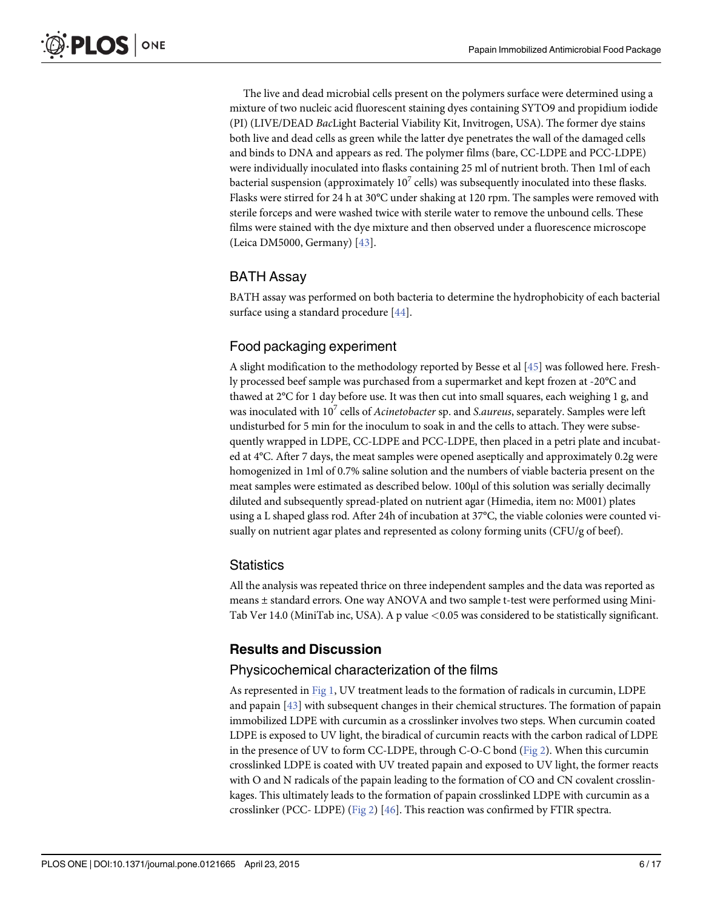<span id="page-5-0"></span>The live and dead microbial cells present on the polymers surface were determined using a mixture of two nucleic acid fluorescent staining dyes containing SYTO9 and propidium iodide (PI) (LIVE/DEAD BacLight Bacterial Viability Kit, Invitrogen, USA). The former dye stains both live and dead cells as green while the latter dye penetrates the wall of the damaged cells and binds to DNA and appears as red. The polymer films (bare, CC-LDPE and PCC-LDPE) were individually inoculated into flasks containing 25 ml of nutrient broth. Then 1ml of each bacterial suspension (approximately  $10^7$  cells) was subsequently inoculated into these flasks. Flasks were stirred for 24 h at 30°C under shaking at 120 rpm. The samples were removed with sterile forceps and were washed twice with sterile water to remove the unbound cells. These films were stained with the dye mixture and then observed under a fluorescence microscope (Leica DM5000, Germany) [[43](#page-15-0)].

## BATH Assay

BATH assay was performed on both bacteria to determine the hydrophobicity of each bacterial surface using a standard procedure [[44](#page-15-0)].

## Food packaging experiment

A slight modification to the methodology reported by Besse et al [[45](#page-16-0)] was followed here. Freshly processed beef sample was purchased from a supermarket and kept frozen at -20°C and thawed at 2°C for 1 day before use. It was then cut into small squares, each weighing 1 g, and was inoculated with  $10^7$  cells of Acinetobacter sp. and S.aureus, separately. Samples were left undisturbed for 5 min for the inoculum to soak in and the cells to attach. They were subsequently wrapped in LDPE, CC-LDPE and PCC-LDPE, then placed in a petri plate and incubated at 4°C. After 7 days, the meat samples were opened aseptically and approximately 0.2g were homogenized in 1ml of 0.7% saline solution and the numbers of viable bacteria present on the meat samples were estimated as described below. 100μl of this solution was serially decimally diluted and subsequently spread-plated on nutrient agar (Himedia, item no: M001) plates using a L shaped glass rod. After 24h of incubation at 37°C, the viable colonies were counted visually on nutrient agar plates and represented as colony forming units (CFU/g of beef).

## **Statistics**

All the analysis was repeated thrice on three independent samples and the data was reported as means ± standard errors. One way ANOVA and two sample t-test were performed using Mini-Tab Ver 14.0 (MiniTab inc, USA). A p value <0.05 was considered to be statistically significant.

## Results and Discussion

## Physicochemical characterization of the films

As represented in [Fig 1](#page-6-0), UV treatment leads to the formation of radicals in curcumin, LDPE and papain [\[43\]](#page-15-0) with subsequent changes in their chemical structures. The formation of papain immobilized LDPE with curcumin as a crosslinker involves two steps. When curcumin coated LDPE is exposed to UV light, the biradical of curcumin reacts with the carbon radical of LDPE in the presence of UV to form CC-LDPE, through C-O-C bond ([Fig 2](#page-6-0)). When this curcumin crosslinked LDPE is coated with UV treated papain and exposed to UV light, the former reacts with O and N radicals of the papain leading to the formation of CO and CN covalent crosslinkages. This ultimately leads to the formation of papain crosslinked LDPE with curcumin as a crosslinker (PCC- LDPE) ( $Fig 2$ ) [ $46$ ]. This reaction was confirmed by FTIR spectra.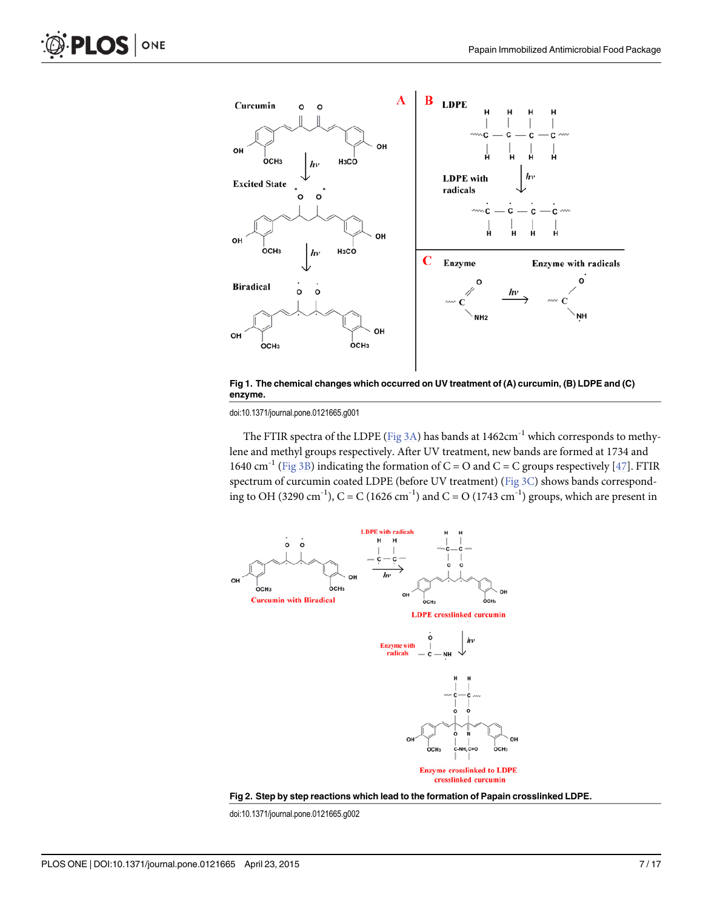<span id="page-6-0"></span>

[Fig 1. T](#page-5-0)he chemical changes which occurred on UV treatment of (A) curcumin, (B) LDPE and (C) enzyme.

The FTIR spectra of the LDPE (Fig  $3A$ ) has bands at 1462cm<sup>-1</sup> which corresponds to methylene and methyl groups respectively. After UV treatment, new bands are formed at 1734 and 1640 cm<sup>-1</sup> ([Fig 3B\)](#page-7-0) indicating the formation of C = O and C = C groups respectively [ $47$ ]. FTIR spectrum of curcumin coated LDPE (before UV treatment) ([Fig 3C\)](#page-7-0) shows bands corresponding to OH (3290 cm<sup>-1</sup>), C = C (1626 cm<sup>-1</sup>) and C = O (1743 cm<sup>-1</sup>) groups, which are present in



[Fig 2. S](#page-5-0)tep by step reactions which lead to the formation of Papain crosslinked LDPE.

doi:10.1371/journal.pone.0121665.g002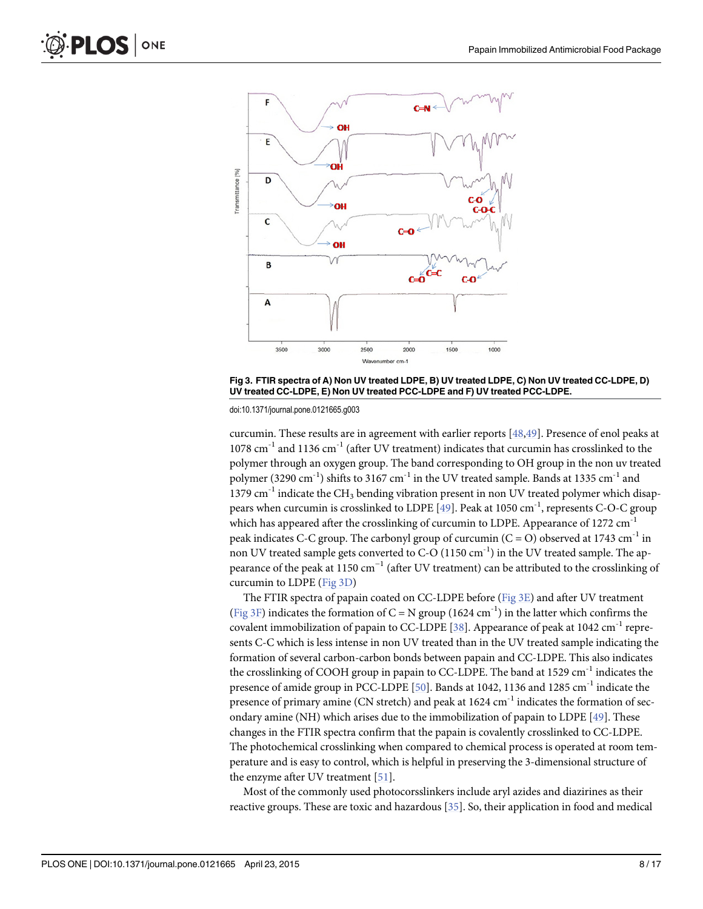<span id="page-7-0"></span>

[Fig 3. F](#page-6-0)TIR spectra of A) Non UV treated LDPE, B) UV treated LDPE, C) Non UV treated CC-LDPE, D) UV treated CC-LDPE, E) Non UV treated PCC-LDPE and F) UV treated PCC-LDPE.

curcumin. These results are in agreement with earlier reports [\[48,49\]](#page-16-0). Presence of enol peaks at 1078 cm<sup>-1</sup> and 1136 cm<sup>-1</sup> (after UV treatment) indicates that curcumin has crosslinked to the polymer through an oxygen group. The band corresponding to OH group in the non uv treated polymer (3290 cm<sup>-1</sup>) shifts to 3167 cm<sup>-1</sup> in the UV treated sample. Bands at 1335 cm<sup>-1</sup> and 1379 cm $^{-1}$  indicate the CH<sub>3</sub> bending vibration present in non UV treated polymer which disappears when curcumin is crosslinked to LDPE  $[49]$ . Peak at 1050 cm<sup>-1</sup>, represents C-O-C group which has appeared after the crosslinking of curcumin to LDPE. Appearance of 1272 cm<sup>-1</sup> peak indicates C-C group. The carbonyl group of curcumin ( $C = O$ ) observed at 1743 cm<sup>-1</sup> in non UV treated sample gets converted to  $C-O(1150 \text{ cm}^{-1})$  in the UV treated sample. The appearance of the peak at 1150 cm<sup>-1</sup> (after UV treatment) can be attributed to the crosslinking of curcumin to LDPE (Fig 3D)

The FTIR spectra of papain coated on CC-LDPE before (Fig 3E) and after UV treatment (Fig 3F) indicates the formation of C = N group (1624 cm<sup>-1</sup>) in the latter which confirms the covalent immobilization of papain to CC-LDPE [[38](#page-15-0)]. Appearance of peak at 1042 cm<sup>-1</sup> represents C-C which is less intense in non UV treated than in the UV treated sample indicating the formation of several carbon-carbon bonds between papain and CC-LDPE. This also indicates the crosslinking of COOH group in papain to CC-LDPE. The band at 1529 cm<sup>-1</sup> indicates the presence of amide group in PCC-LDPE [[50](#page-16-0)]. Bands at 1042, 1136 and 1285 cm<sup>-1</sup> indicate the presence of primary amine (CN stretch) and peak at  $1624 \text{ cm}^{-1}$  indicates the formation of secondary amine (NH) which arises due to the immobilization of papain to LDPE [[49](#page-16-0)]. These changes in the FTIR spectra confirm that the papain is covalently crosslinked to CC-LDPE. The photochemical crosslinking when compared to chemical process is operated at room temperature and is easy to control, which is helpful in preserving the 3-dimensional structure of the enzyme after UV treatment [\[51\]](#page-16-0).

Most of the commonly used photocorsslinkers include aryl azides and diazirines as their reactive groups. These are toxic and hazardous [\[35\]](#page-15-0). So, their application in food and medical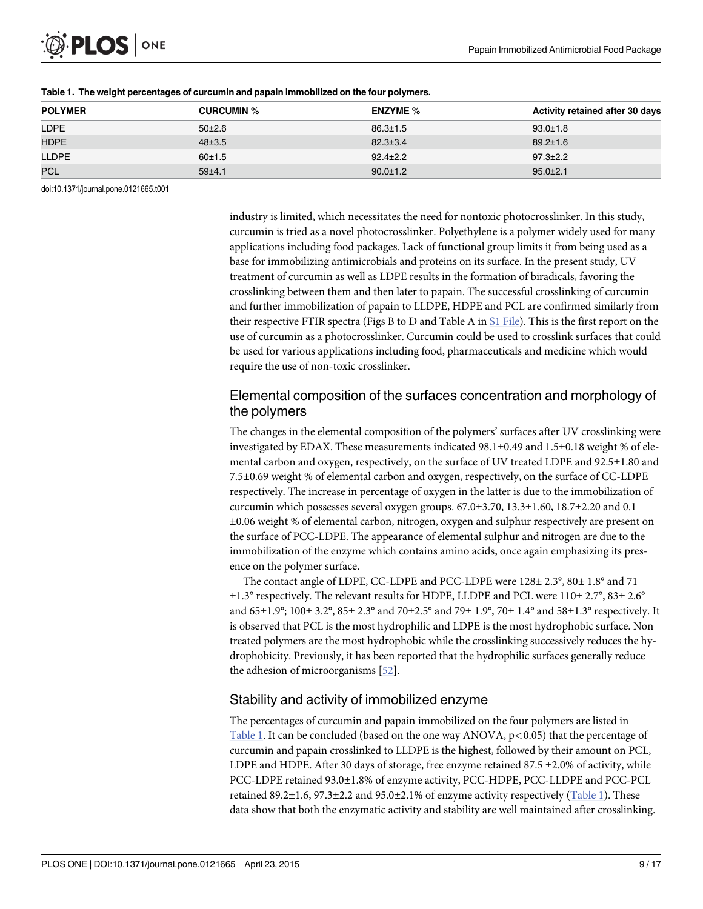<span id="page-8-0"></span>

| <b>POLYMER</b> | <b>CURCUMIN %</b> | <b>ENZYME</b> % | <b>Activity retained after 30 days</b> |
|----------------|-------------------|-----------------|----------------------------------------|
| <b>LDPE</b>    | $50+2.6$          | $86.3 \pm 1.5$  | $93.0 \pm 1.8$                         |
| <b>HDPE</b>    | 48±3.5            | $82.3 \pm 3.4$  | $89.2 \pm 1.6$                         |
| LLDPE          | 60±1.5            | $92.4 \pm 2.2$  | $97.3 \pm 2.2$                         |
| <b>PCL</b>     | 59±4.1            | $90.0 \pm 1.2$  | $95.0 \pm 2.1$                         |

#### Table 1. The weight percentages of curcumin and papain immobilized on the four polymers.

doi:10.1371/journal.pone.0121665.t001

industry is limited, which necessitates the need for nontoxic photocrosslinker. In this study, curcumin is tried as a novel photocrosslinker. Polyethylene is a polymer widely used for many applications including food packages. Lack of functional group limits it from being used as a base for immobilizing antimicrobials and proteins on its surface. In the present study, UV treatment of curcumin as well as LDPE results in the formation of biradicals, favoring the crosslinking between them and then later to papain. The successful crosslinking of curcumin and further immobilization of papain to LLDPE, HDPE and PCL are confirmed similarly from their respective FTIR spectra (Figs B to D and Table A in [S1 File\)](#page-13-0). This is the first report on the use of curcumin as a photocrosslinker. Curcumin could be used to crosslink surfaces that could be used for various applications including food, pharmaceuticals and medicine which would require the use of non-toxic crosslinker.

## Elemental composition of the surfaces concentration and morphology of the polymers

The changes in the elemental composition of the polymers' surfaces after UV crosslinking were investigated by EDAX. These measurements indicated 98.1±0.49 and 1.5±0.18 weight % of elemental carbon and oxygen, respectively, on the surface of UV treated LDPE and 92.5±1.80 and 7.5±0.69 weight % of elemental carbon and oxygen, respectively, on the surface of CC-LDPE respectively. The increase in percentage of oxygen in the latter is due to the immobilization of curcumin which possesses several oxygen groups. 67.0±3.70, 13.3±1.60, 18.7±2.20 and 0.1 ±0.06 weight % of elemental carbon, nitrogen, oxygen and sulphur respectively are present on the surface of PCC-LDPE. The appearance of elemental sulphur and nitrogen are due to the immobilization of the enzyme which contains amino acids, once again emphasizing its presence on the polymer surface.

The contact angle of LDPE, CC-LDPE and PCC-LDPE were 128± 2.3°, 80± 1.8° and 71  $\pm 1.3^{\circ}$  respectively. The relevant results for HDPE, LLDPE and PCL were  $110\pm 2.7^{\circ}$ ,  $83\pm 2.6^{\circ}$ and 65±1.9°; 100± 3.2°, 85± 2.3° and 70±2.5° and 79± 1.9°, 70± 1.4° and 58±1.3° respectively. It is observed that PCL is the most hydrophilic and LDPE is the most hydrophobic surface. Non treated polymers are the most hydrophobic while the crosslinking successively reduces the hydrophobicity. Previously, it has been reported that the hydrophilic surfaces generally reduce the adhesion of microorganisms [\[52\]](#page-16-0).

## Stability and activity of immobilized enzyme

The percentages of curcumin and papain immobilized on the four polymers are listed in Table 1. It can be concluded (based on the one way ANOVA,  $p < 0.05$ ) that the percentage of curcumin and papain crosslinked to LLDPE is the highest, followed by their amount on PCL, LDPE and HDPE. After 30 days of storage, free enzyme retained 87.5  $\pm$ 2.0% of activity, while PCC-LDPE retained 93.0±1.8% of enzyme activity, PCC-HDPE, PCC-LLDPE and PCC-PCL retained 89.2 $\pm$ 1.6, 97.3 $\pm$ 2.2 and 95.0 $\pm$ 2.1% of enzyme activity respectively (Table 1). These data show that both the enzymatic activity and stability are well maintained after crosslinking.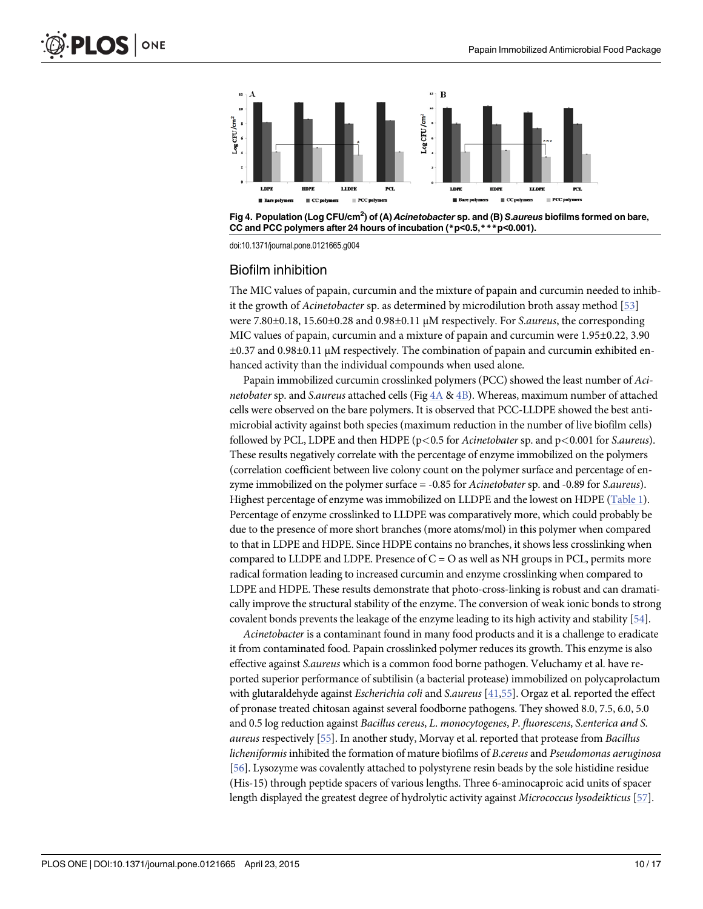<span id="page-9-0"></span>



## Biofilm inhibition

The MIC values of papain, curcumin and the mixture of papain and curcumin needed to inhibit the growth of Acinetobacter sp. as determined by microdilution broth assay method [[53](#page-16-0)] were 7.80±0.18, 15.60±0.28 and 0.98±0.11 μM respectively. For S.aureus, the corresponding MIC values of papain, curcumin and a mixture of papain and curcumin were 1.95±0.22, 3.90 ±0.37 and 0.98±0.11 μM respectively. The combination of papain and curcumin exhibited enhanced activity than the individual compounds when used alone.

Papain immobilized curcumin crosslinked polymers (PCC) showed the least number of Acinetobater sp. and S.aureus attached cells (Fig  $4A \& 4B$ ). Whereas, maximum number of attached cells were observed on the bare polymers. It is observed that PCC-LLDPE showed the best antimicrobial activity against both species (maximum reduction in the number of live biofilm cells) followed by PCL, LDPE and then HDPE ( $p<0.5$  for Acinetobater sp. and  $p<0.001$  for *S.aureus*). These results negatively correlate with the percentage of enzyme immobilized on the polymers (correlation coefficient between live colony count on the polymer surface and percentage of enzyme immobilized on the polymer surface = -0.85 for Acinetobater sp. and -0.89 for S.aureus). Highest percentage of enzyme was immobilized on LLDPE and the lowest on HDPE ([Table 1](#page-8-0)). Percentage of enzyme crosslinked to LLDPE was comparatively more, which could probably be due to the presence of more short branches (more atoms/mol) in this polymer when compared to that in LDPE and HDPE. Since HDPE contains no branches, it shows less crosslinking when compared to LLDPE and LDPE. Presence of  $C = O$  as well as NH groups in PCL, permits more radical formation leading to increased curcumin and enzyme crosslinking when compared to LDPE and HDPE. These results demonstrate that photo-cross-linking is robust and can dramatically improve the structural stability of the enzyme. The conversion of weak ionic bonds to strong covalent bonds prevents the leakage of the enzyme leading to its high activity and stability [\[54](#page-16-0)].

Acinetobacter is a contaminant found in many food products and it is a challenge to eradicate it from contaminated food. Papain crosslinked polymer reduces its growth. This enzyme is also effective against S.aureus which is a common food borne pathogen. Veluchamy et al. have reported superior performance of subtilisin (a bacterial protease) immobilized on polycaprolactum with glutaraldehyde against *Escherichia coli* and S.aureus [\[41,](#page-15-0)[55](#page-16-0)]. Orgaz et al. reported the effect of pronase treated chitosan against several foodborne pathogens. They showed 8.0, 7.5, 6.0, 5.0 and 0.5 log reduction against Bacillus cereus, L. monocytogenes, P. fluorescens, S.enterica and S. aureus respectively [\[55\]](#page-16-0). In another study, Morvay et al. reported that protease from Bacillus licheniformis inhibited the formation of mature biofilms of B.cereus and Pseudomonas aeruginosa [\[56\]](#page-16-0). Lysozyme was covalently attached to polystyrene resin beads by the sole histidine residue (His-15) through peptide spacers of various lengths. Three 6-aminocaproic acid units of spacer length displayed the greatest degree of hydrolytic activity against Micrococcus lysodeikticus [[57](#page-16-0)].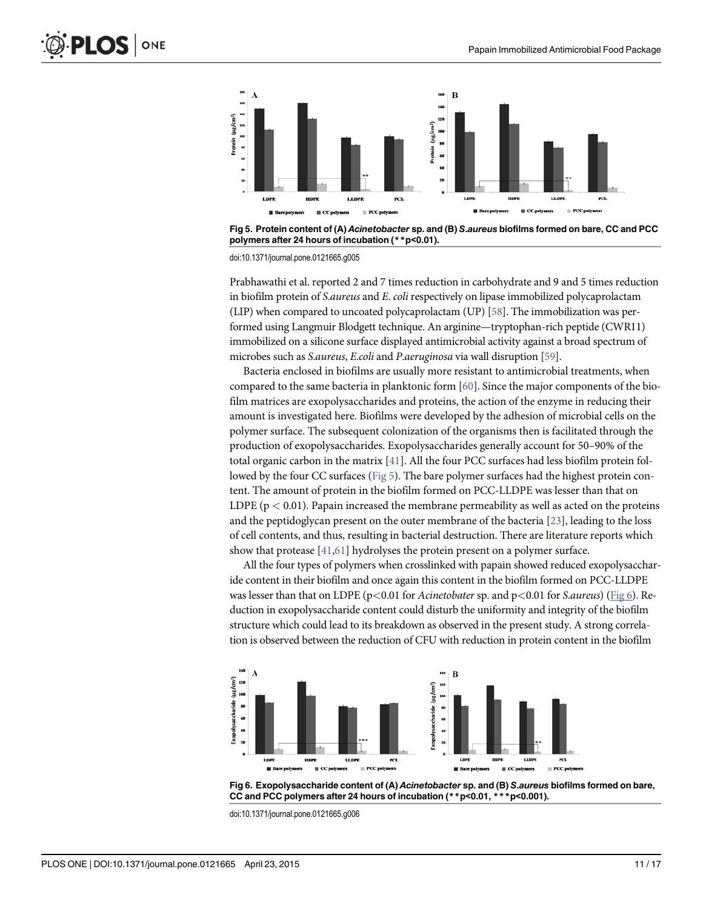<span id="page-10-0"></span>



Prabhawathi et al. reported 2 and 7 times reduction in carbohydrate and 9 and 5 times reduction in biofilm protein of S.aureus and E. coli respectively on lipase immobilized polycaprolactam (LIP) when compared to uncoated polycaprolactam (UP) [\[58\]](#page-16-0). The immobilization was performed using Langmuir Blodgett technique. An arginine—tryptophan-rich peptide (CWR11) immobilized on a silicone surface displayed antimicrobial activity against a broad spectrum of microbes such as S.aureus, E.coli and P.aeruginosa via wall disruption [\[59\]](#page-16-0).

Bacteria enclosed in biofilms are usually more resistant to antimicrobial treatments, when compared to the same bacteria in planktonic form [[60](#page-16-0)]. Since the major components of the biofilm matrices are exopolysaccharides and proteins, the action of the enzyme in reducing their amount is investigated here. Biofilms were developed by the adhesion of microbial cells on the polymer surface. The subsequent colonization of the organisms then is facilitated through the production of exopolysaccharides. Exopolysaccharides generally account for 50–90% of the total organic carbon in the matrix  $[41]$ . All the four PCC surfaces had less biofilm protein followed by the four CC surfaces (Fig 5). The bare polymer surfaces had the highest protein content. The amount of protein in the biofilm formed on PCC-LLDPE was lesser than that on LDPE ( $p < 0.01$ ). Papain increased the membrane permeability as well as acted on the proteins and the peptidoglycan present on the outer membrane of the bacteria [\[23](#page-15-0)], leading to the loss of cell contents, and thus, resulting in bacterial destruction. There are literature reports which show that protease [[41](#page-15-0),[61](#page-16-0)] hydrolyses the protein present on a polymer surface.

All the four types of polymers when crosslinked with papain showed reduced exopolysaccharide content in their biofilm and once again this content in the biofilm formed on PCC-LLDPE was lesser than that on LDPE (p<0.01 for Acinetobater sp. and p<0.01 for S.aureus) (Fig 6). Reduction in exopolysaccharide content could disturb the uniformity and integrity of the biofilm structure which could lead to its breakdown as observed in the present study. A strong correlation is observed between the reduction of CFU with reduction in protein content in the biofilm





doi:10.1371/journal.pone.0121665.g006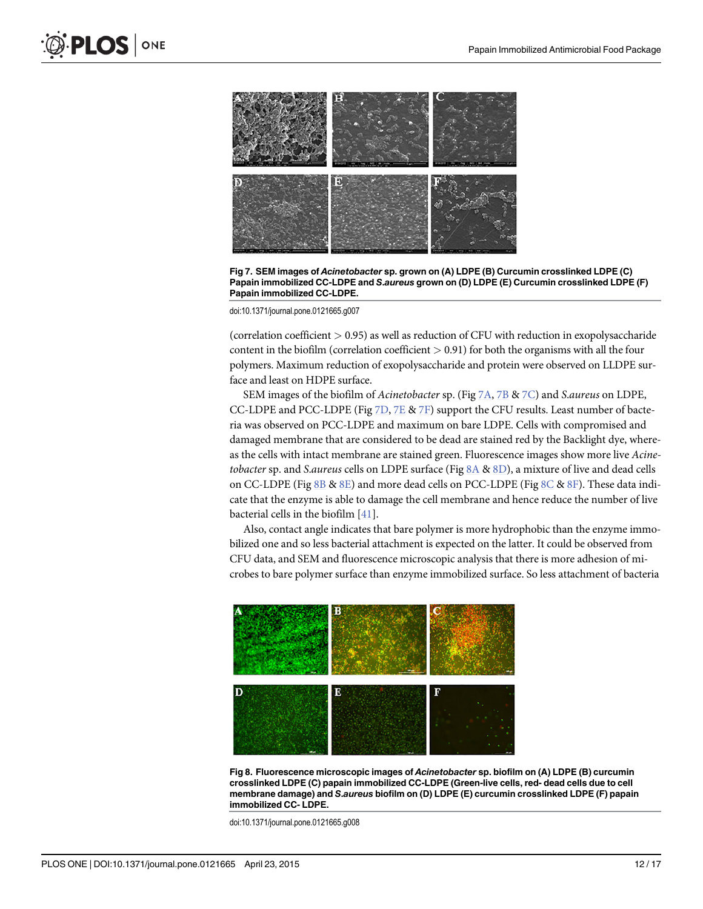

Fig 7. SEM images of Acinetobacter sp. grown on (A) LDPE (B) Curcumin crosslinked LDPE (C) Papain immobilized CC-LDPE and S.aureus grown on (D) LDPE (E) Curcumin crosslinked LDPE (F) Papain immobilized CC-LDPE.

(correlation coefficient > 0.95) as well as reduction of CFU with reduction in exopolysaccharide content in the biofilm (correlation coefficient  $> 0.91$ ) for both the organisms with all the four polymers. Maximum reduction of exopolysaccharide and protein were observed on LLDPE surface and least on HDPE surface.

SEM images of the biofilm of Acinetobacter sp. (Fig  $7A$ ,  $7B$  &  $7C$ ) and S.aureus on LDPE, CC-LDPE and PCC-LDPE (Fig  $7D$ ,  $7E$  &  $7F$ ) support the CFU results. Least number of bacteria was observed on PCC-LDPE and maximum on bare LDPE. Cells with compromised and damaged membrane that are considered to be dead are stained red by the Backlight dye, whereas the cells with intact membrane are stained green. Fluorescence images show more live Acinetobacter sp. and S.aureus cells on LDPE surface (Fig  $8A \& 8D$ ), a mixture of live and dead cells on CC-LDPE (Fig  $\underline{8B}$  &  $\underline{8E}$ ) and more dead cells on PCC-LDPE (Fig  $\underline{8C}$  &  $\underline{8F}$ ). These data indicate that the enzyme is able to damage the cell membrane and hence reduce the number of live bacterial cells in the biofilm [[41](#page-15-0)].

Also, contact angle indicates that bare polymer is more hydrophobic than the enzyme immobilized one and so less bacterial attachment is expected on the latter. It could be observed from CFU data, and SEM and fluorescence microscopic analysis that there is more adhesion of microbes to bare polymer surface than enzyme immobilized surface. So less attachment of bacteria



Fig 8. Fluorescence microscopic images of Acinetobacter sp. biofilm on (A) LDPE (B) curcumin crosslinked LDPE (C) papain immobilized CC-LDPE (Green-live cells, red- dead cells due to cell membrane damage) and S.aureus biofilm on (D) LDPE (E) curcumin crosslinked LDPE (F) papain immobilized CC- LDPE.

doi:10.1371/journal.pone.0121665.g008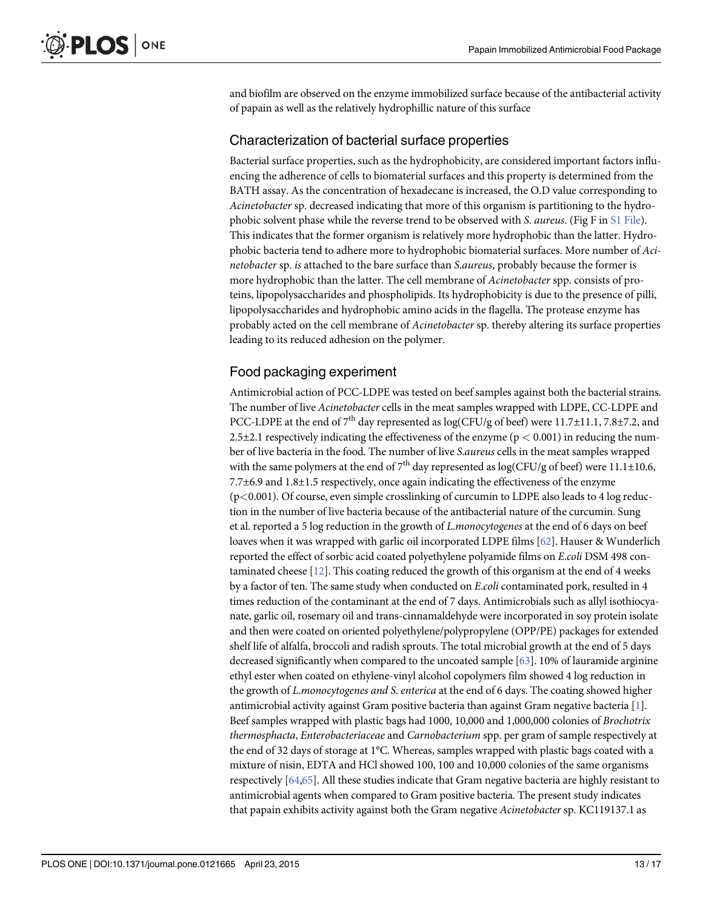<span id="page-12-0"></span>and biofilm are observed on the enzyme immobilized surface because of the antibacterial activity of papain as well as the relatively hydrophillic nature of this surface

## Characterization of bacterial surface properties

Bacterial surface properties, such as the hydrophobicity, are considered important factors influencing the adherence of cells to biomaterial surfaces and this property is determined from the BATH assay. As the concentration of hexadecane is increased, the O.D value corresponding to Acinetobacter sp. decreased indicating that more of this organism is partitioning to the hydro-phobic solvent phase while the reverse trend to be observed with S. aureus. (Fig F in [S1 File](#page-13-0)). This indicates that the former organism is relatively more hydrophobic than the latter. Hydrophobic bacteria tend to adhere more to hydrophobic biomaterial surfaces. More number of Acinetobacter sp. is attached to the bare surface than S.aureus, probably because the former is more hydrophobic than the latter. The cell membrane of Acinetobacter spp. consists of proteins, lipopolysaccharides and phospholipids. Its hydrophobicity is due to the presence of pilli, lipopolysaccharides and hydrophobic amino acids in the flagella. The protease enzyme has probably acted on the cell membrane of Acinetobacter sp. thereby altering its surface properties leading to its reduced adhesion on the polymer.

## Food packaging experiment

Antimicrobial action of PCC-LDPE was tested on beef samples against both the bacterial strains. The number of live Acinetobacter cells in the meat samples wrapped with LDPE, CC-LDPE and PCC-LDPE at the end of 7<sup>th</sup> day represented as log(CFU/g of beef) were 11.7±11.1, 7.8±7.2, and 2.5 $\pm$ 2.1 respectively indicating the effectiveness of the enzyme ( $p < 0.001$ ) in reducing the number of live bacteria in the food. The number of live S.aureus cells in the meat samples wrapped with the same polymers at the end of  $7<sup>th</sup>$  day represented as log(CFU/g of beef) were 11.1±10.6, 7.7±6.9 and 1.8±1.5 respectively, once again indicating the effectiveness of the enzyme (p<0.001). Of course, even simple crosslinking of curcumin to LDPE also leads to 4 log reduction in the number of live bacteria because of the antibacterial nature of the curcumin. Sung et al. reported a 5 log reduction in the growth of L.*monocytogenes* at the end of 6 days on beef loaves when it was wrapped with garlic oil incorporated LDPE films  $[62]$  $[62]$  $[62]$ . Hauser & Wunderlich reported the effect of sorbic acid coated polyethylene polyamide films on E.coli DSM 498 contaminated cheese  $[12]$ . This coating reduced the growth of this organism at the end of 4 weeks by a factor of ten. The same study when conducted on E.coli contaminated pork, resulted in 4 times reduction of the contaminant at the end of 7 days. Antimicrobials such as allyl isothiocyanate, garlic oil, rosemary oil and trans-cinnamaldehyde were incorporated in soy protein isolate and then were coated on oriented polyethylene/polypropylene (OPP/PE) packages for extended shelf life of alfalfa, broccoli and radish sprouts. The total microbial growth at the end of 5 days decreased significantly when compared to the uncoated sample [\[63\]](#page-16-0). 10% of lauramide arginine ethyl ester when coated on ethylene-vinyl alcohol copolymers film showed 4 log reduction in the growth of L.monocytogenes and S. enterica at the end of 6 days. The coating showed higher antimicrobial activity against Gram positive bacteria than against Gram negative bacteria [\[1](#page-14-0)]. Beef samples wrapped with plastic bags had 1000, 10,000 and 1,000,000 colonies of Brochotrix thermosphacta, Enterobacteriaceae and Carnobacterium spp. per gram of sample respectively at the end of 32 days of storage at 1°C. Whereas, samples wrapped with plastic bags coated with a mixture of nisin, EDTA and HCl showed 100, 100 and 10,000 colonies of the same organisms respectively [\[64,65\]](#page-16-0). All these studies indicate that Gram negative bacteria are highly resistant to antimicrobial agents when compared to Gram positive bacteria. The present study indicates that papain exhibits activity against both the Gram negative Acinetobacter sp. KC119137.1 as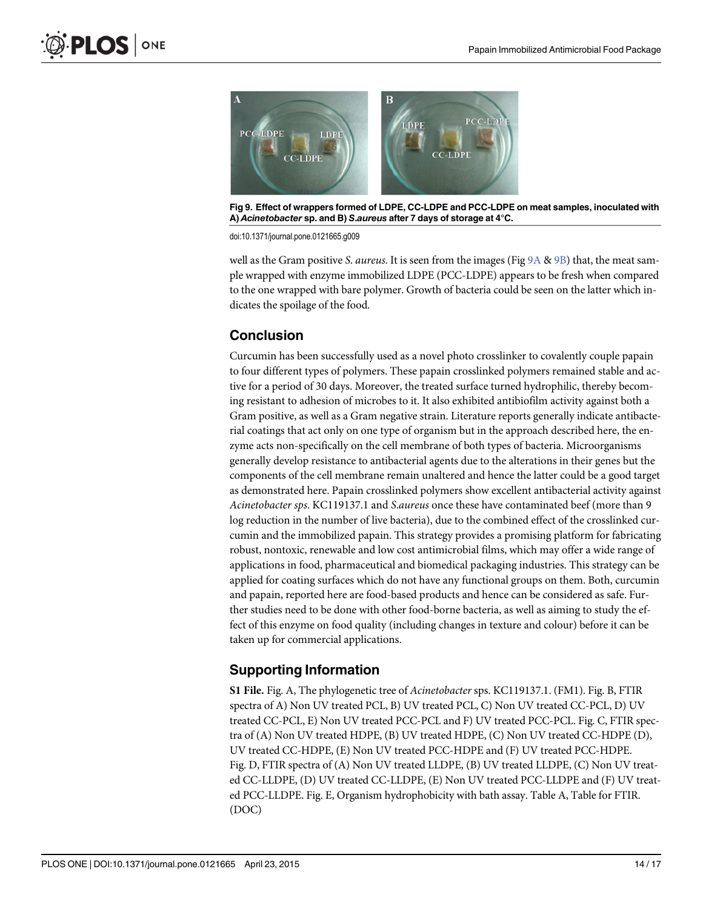<span id="page-13-0"></span>

Fig 9. Effect of wrappers formed of LDPE, CC-LDPE and PCC-LDPE on meat samples, inoculated with A) Acinetobacter sp. and B) S.aureus after 7 days of storage at 4°C.

well as the Gram positive S. *aureus*. It is seen from the images (Fig  $9A \& 9B$ ) that, the meat sample wrapped with enzyme immobilized LDPE (PCC-LDPE) appears to be fresh when compared to the one wrapped with bare polymer. Growth of bacteria could be seen on the latter which indicates the spoilage of the food.

## Conclusion

Curcumin has been successfully used as a novel photo crosslinker to covalently couple papain to four different types of polymers. These papain crosslinked polymers remained stable and active for a period of 30 days. Moreover, the treated surface turned hydrophilic, thereby becoming resistant to adhesion of microbes to it. It also exhibited antibiofilm activity against both a Gram positive, as well as a Gram negative strain. Literature reports generally indicate antibacterial coatings that act only on one type of organism but in the approach described here, the enzyme acts non-specifically on the cell membrane of both types of bacteria. Microorganisms generally develop resistance to antibacterial agents due to the alterations in their genes but the components of the cell membrane remain unaltered and hence the latter could be a good target as demonstrated here. Papain crosslinked polymers show excellent antibacterial activity against Acinetobacter sps. KC119137.1 and S.aureus once these have contaminated beef (more than 9 log reduction in the number of live bacteria), due to the combined effect of the crosslinked curcumin and the immobilized papain. This strategy provides a promising platform for fabricating robust, nontoxic, renewable and low cost antimicrobial films, which may offer a wide range of applications in food, pharmaceutical and biomedical packaging industries. This strategy can be applied for coating surfaces which do not have any functional groups on them. Both, curcumin and papain, reported here are food-based products and hence can be considered as safe. Further studies need to be done with other food-borne bacteria, as well as aiming to study the effect of this enzyme on food quality (including changes in texture and colour) before it can be taken up for commercial applications.

## Supporting Information

[S1 File.](http://www.plosone.org/article/fetchSingleRepresentation.action?uri=info:doi/10.1371/journal.pone.0121665.s001) Fig. A, The phylogenetic tree of Acinetobacter sps. KC119137.1. (FM1). Fig. B, FTIR spectra of A) Non UV treated PCL, B) UV treated PCL, C) Non UV treated CC-PCL, D) UV treated CC-PCL, E) Non UV treated PCC-PCL and F) UV treated PCC-PCL. Fig. C, FTIR spectra of (A) Non UV treated HDPE, (B) UV treated HDPE, (C) Non UV treated CC-HDPE (D), UV treated CC-HDPE, (E) Non UV treated PCC-HDPE and (F) UV treated PCC-HDPE. Fig. D, FTIR spectra of (A) Non UV treated LLDPE, (B) UV treated LLDPE, (C) Non UV treated CC-LLDPE, (D) UV treated CC-LLDPE, (E) Non UV treated PCC-LLDPE and (F) UV treated PCC-LLDPE. Fig. E, Organism hydrophobicity with bath assay. Table A, Table for FTIR. (DOC)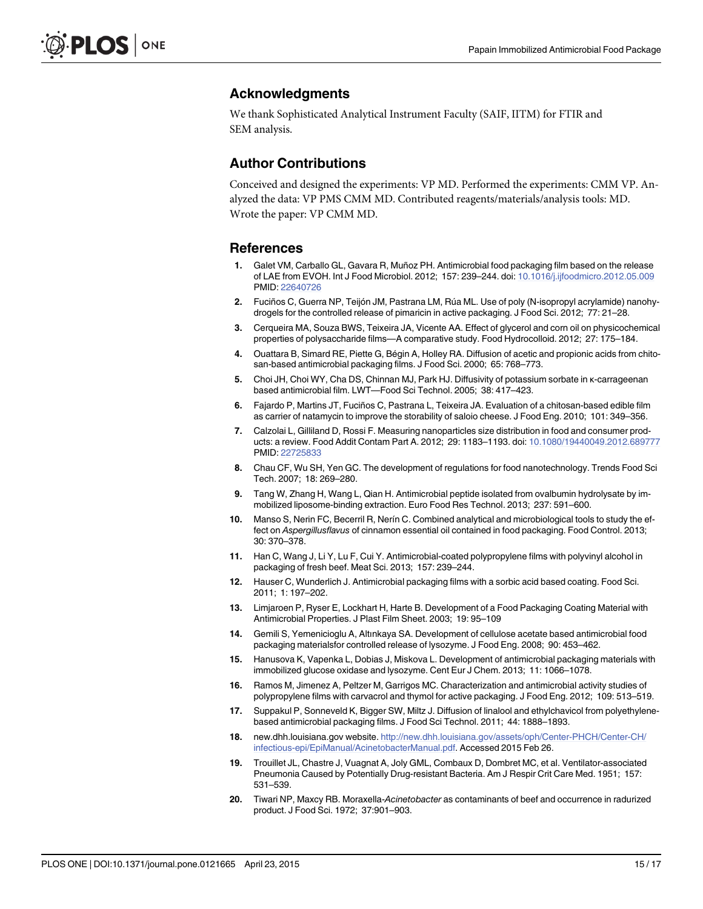## <span id="page-14-0"></span>Acknowledgments

We thank Sophisticated Analytical Instrument Faculty (SAIF, IITM) for FTIR and SEM analysis.

## Author Contributions

Conceived and designed the experiments: VP MD. Performed the experiments: CMM VP. Analyzed the data: VP PMS CMM MD. Contributed reagents/materials/analysis tools: MD. Wrote the paper: VP CMM MD.

#### References

- [1.](#page-0-0) Galet VM, Carballo GL, Gavara R, Muñoz PH. Antimicrobial food packaging film based on the release of LAE from EVOH. Int J Food Microbiol. 2012; 157: 239–244. doi: [10.1016/j.ijfoodmicro.2012.05.009](http://dx.doi.org/10.1016/j.ijfoodmicro.2012.05.009) PMID: [22640726](http://www.ncbi.nlm.nih.gov/pubmed/22640726)
- [2.](#page-0-0) Fuciños C, Guerra NP, Teijón JM, Pastrana LM, Rúa ML. Use of poly (N-isopropyl acrylamide) nanohydrogels for the controlled release of pimaricin in active packaging. J Food Sci. 2012; 77: 21–28.
- [3.](#page-0-0) Cerqueira MA, Souza BWS, Teixeira JA, Vicente AA. Effect of glycerol and corn oil on physicochemical properties of polysaccharide films—A comparative study. Food Hydrocolloid. 2012; 27: 175–184.
- [4.](#page-0-0) Ouattara B, Simard RE, Piette G, Bégin A, Holley RA. Diffusion of acetic and propionic acids from chitosan-based antimicrobial packaging films. J Food Sci. 2000; 65: 768–773.
- [5.](#page-0-0) Choi JH, Choi WY, Cha DS, Chinnan MJ, Park HJ. Diffusivity of potassium sorbate in κ-carrageenan based antimicrobial film. LWT—Food Sci Technol. 2005; 38: 417–423.
- [6.](#page-0-0) Fajardo P, Martins JT, Fuciños C, Pastrana L, Teixeira JA. Evaluation of a chitosan-based edible film as carrier of natamycin to improve the storability of saloio cheese. J Food Eng. 2010; 101: 349–356.
- [7.](#page-1-0) Calzolai L, Gilliland D, Rossi F. Measuring nanoparticles size distribution in food and consumer products: a review. Food Addit Contam Part A. 2012; 29: 1183–1193. doi: [10.1080/19440049.2012.689777](http://dx.doi.org/10.1080/19440049.2012.689777) PMID: [22725833](http://www.ncbi.nlm.nih.gov/pubmed/22725833)
- [8.](#page-1-0) Chau CF, Wu SH, Yen GC. The development of regulations for food nanotechnology. Trends Food Sci Tech. 2007; 18: 269–280.
- [9.](#page-1-0) Tang W, Zhang H, Wang L, Qian H. Antimicrobial peptide isolated from ovalbumin hydrolysate by immobilized liposome-binding extraction. Euro Food Res Technol. 2013; 237: 591–600.
- [10.](#page-1-0) Manso S, Nerin FC, Becerril R, Nerín C. Combined analytical and microbiological tools to study the effect on Aspergillusflavus of cinnamon essential oil contained in food packaging. Food Control. 2013; 30: 370–378.
- [11.](#page-1-0) Han C, Wang J, Li Y, Lu F, Cui Y. Antimicrobial-coated polypropylene films with polyvinyl alcohol in packaging of fresh beef. Meat Sci. 2013; 157: 239–244.
- [12.](#page-1-0) Hauser C, Wunderlich J. Antimicrobial packaging films with a sorbic acid based coating. Food Sci. 2011; 1: 197–202.
- [13.](#page-1-0) Limjaroen P, Ryser E, Lockhart H, Harte B. Development of a Food Packaging Coating Material with Antimicrobial Properties. J Plast Film Sheet. 2003; 19: 95–109
- [14.](#page-1-0) Gemili S, Yemenicioglu A, Altınkaya SA. Development of cellulose acetate based antimicrobial food packaging materialsfor controlled release of lysozyme. J Food Eng. 2008; 90: 453–462.
- [15.](#page-1-0) Hanusova K, Vapenka L, Dobias J, Miskova L. Development of antimicrobial packaging materials with immobilized glucose oxidase and lysozyme. Cent Eur J Chem. 2013; 11: 1066–1078.
- [16.](#page-1-0) Ramos M, Jimenez A, Peltzer M, Garrigos MC. Characterization and antimicrobial activity studies of polypropylene films with carvacrol and thymol for active packaging. J Food Eng. 2012; 109: 513–519.
- [17.](#page-1-0) Suppakul P, Sonneveld K, Bigger SW, Miltz J. Diffusion of linalool and ethylchavicol from polyethylenebased antimicrobial packaging films. J Food Sci Technol. 2011; 44: 1888–1893.
- [18.](#page-1-0) new.dhh.louisiana.gov website. [http://new.dhh.louisiana.gov/assets/oph/Center-PHCH/Center-CH/](http://new.dhh.louisiana.gov/assets/oph/Center-PHCH/Center-CH/infectious-epi/EpiManual/AcinetobacterManual.pdf) [infectious-epi/EpiManual/AcinetobacterManual.pdf.](http://new.dhh.louisiana.gov/assets/oph/Center-PHCH/Center-CH/infectious-epi/EpiManual/AcinetobacterManual.pdf) Accessed 2015 Feb 26.
- [19.](#page-1-0) Trouillet JL, Chastre J, Vuagnat A, Joly GML, Combaux D, Dombret MC, et al. Ventilator-associated Pneumonia Caused by Potentially Drug-resistant Bacteria. Am J Respir Crit Care Med. 1951; 157: 531–539.
- [20.](#page-1-0) Tiwari NP, Maxcy RB. Moraxella-Acinetobacter as contaminants of beef and occurrence in radurized product. J Food Sci. 1972; 37:901–903.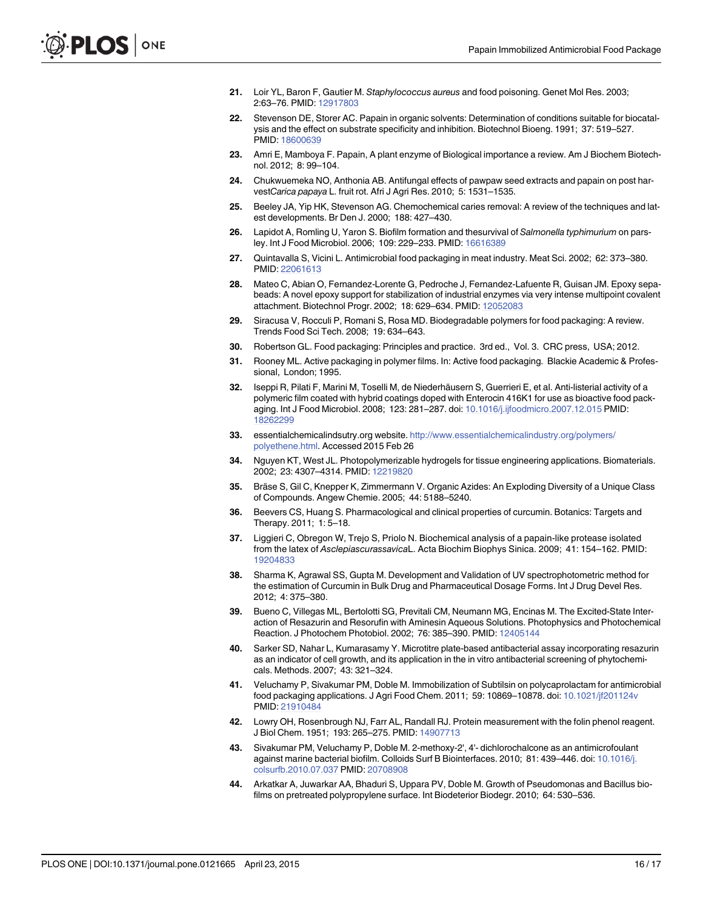- <span id="page-15-0"></span>[21.](#page-1-0) Loir YL, Baron F, Gautier M. Staphylococcus aureus and food poisoning. Genet Mol Res. 2003; 2:63–76. PMID: [12917803](http://www.ncbi.nlm.nih.gov/pubmed/12917803)
- Stevenson DE, Storer AC. Papain in organic solvents: Determination of conditions suitable for biocatalysis and the effect on substrate specificity and inhibition. Biotechnol Bioeng. 1991; 37: 519–527. PMID: [18600639](http://www.ncbi.nlm.nih.gov/pubmed/18600639)
- [23.](#page-1-0) Amri E, Mamboya F. Papain, A plant enzyme of Biological importance a review. Am J Biochem Biotechnol. 2012; 8: 99–104.
- [24.](#page-1-0) Chukwuemeka NO, Anthonia AB. Antifungal effects of pawpaw seed extracts and papain on post harvestCarica papaya L. fruit rot. Afri J Agri Res. 2010; 5: 1531–1535.
- [25.](#page-1-0) Beeley JA, Yip HK, Stevenson AG. Chemochemical caries removal: A review of the techniques and latest developments. Br Den J. 2000; 188: 427–430.
- [26.](#page-1-0) Lapidot A, Romling U, Yaron S. Biofilm formation and thesurvival of Salmonella typhimurium on parsley. Int J Food Microbiol. 2006; 109: 229–233. PMID: [16616389](http://www.ncbi.nlm.nih.gov/pubmed/16616389)
- [27.](#page-1-0) Quintavalla S, Vicini L. Antimicrobial food packaging in meat industry. Meat Sci. 2002; 62: 373–380. PMID: [22061613](http://www.ncbi.nlm.nih.gov/pubmed/22061613)
- [28.](#page-2-0) Mateo C, Abian O, Fernandez-Lorente G, Pedroche J, Fernandez-Lafuente R, Guisan JM. Epoxy sepabeads: A novel epoxy support for stabilization of industrial enzymes via very intense multipoint covalent attachment. Biotechnol Progr. 2002; 18: 629–634. PMID: [12052083](http://www.ncbi.nlm.nih.gov/pubmed/12052083)
- [29.](#page-2-0) Siracusa V, Rocculi P, Romani S, Rosa MD. Biodegradable polymers for food packaging: A review. Trends Food Sci Tech. 2008; 19: 634–643.
- [30.](#page-2-0) Robertson GL. Food packaging: Principles and practice. 3rd ed., Vol. 3. CRC press, USA; 2012.
- [31.](#page-2-0) Rooney ML. Active packaging in polymer films. In: Active food packaging. Blackie Academic & Professional, London; 1995.
- [32.](#page-2-0) Iseppi R, Pilati F, Marini M, Toselli M, de Niederhäusern S, Guerrieri E, et al. Anti-listerial activity of a polymeric film coated with hybrid coatings doped with Enterocin 416K1 for use as bioactive food packaging. Int J Food Microbiol. 2008; 123: 281–287. doi: [10.1016/j.ijfoodmicro.2007.12.015](http://dx.doi.org/10.1016/j.ijfoodmicro.2007.12.015) PMID: [18262299](http://www.ncbi.nlm.nih.gov/pubmed/18262299)
- [33.](#page-2-0) essentialchemicalindsutry.org website. [http://www.essentialchemicalindustry.org/polymers/](http://www.essentialchemicalindustry.org/polymers/polyethene.html) [polyethene.html.](http://www.essentialchemicalindustry.org/polymers/polyethene.html) Accessed 2015 Feb 26
- [34.](#page-2-0) Nguyen KT, West JL. Photopolymerizable hydrogels for tissue engineering applications. Biomaterials. 2002; 23: 4307–4314. PMID: [12219820](http://www.ncbi.nlm.nih.gov/pubmed/12219820)
- [35.](#page-2-0) Bräse S, Gil C, Knepper K, Zimmermann V. Organic Azides: An Exploding Diversity of a Unique Class of Compounds. Angew Chemie. 2005; 44: 5188–5240.
- [36.](#page-2-0) Beevers CS, Huang S. Pharmacological and clinical properties of curcumin. Botanics: Targets and Therapy. 2011; 1: 5–18.
- [37.](#page-3-0) Liggieri C, Obregon W, Trejo S, Priolo N. Biochemical analysis of a papain-like protease isolated from the latex of AsclepiascurassavicaL. Acta Biochim Biophys Sinica. 2009; 41: 154–162. PMID: [19204833](http://www.ncbi.nlm.nih.gov/pubmed/19204833)
- [38.](#page-3-0) Sharma K, Agrawal SS, Gupta M. Development and Validation of UV spectrophotometric method for the estimation of Curcumin in Bulk Drug and Pharmaceutical Dosage Forms. Int J Drug Devel Res. 2012; 4: 375–380.
- [39.](#page-3-0) Bueno C, Villegas ML, Bertolotti SG, Previtali CM, Neumann MG, Encinas M. The Excited-State Interaction of Resazurin and Resorufin with Aminesin Aqueous Solutions. Photophysics and Photochemical Reaction. J Photochem Photobiol. 2002; 76: 385–390. PMID: [12405144](http://www.ncbi.nlm.nih.gov/pubmed/12405144)
- [40.](#page-3-0) Sarker SD, Nahar L, Kumarasamy Y. Microtitre plate-based antibacterial assay incorporating resazurin as an indicator of cell growth, and its application in the in vitro antibacterial screening of phytochemicals. Methods. 2007; 43: 321–324.
- [41.](#page-4-0) Veluchamy P, Sivakumar PM, Doble M. Immobilization of Subtilsin on polycaprolactam for antimicrobial food packaging applications. J Agri Food Chem. 2011; 59: 10869–10878. doi: [10.1021/jf201124v](http://dx.doi.org/10.1021/jf201124v) PMID: [21910484](http://www.ncbi.nlm.nih.gov/pubmed/21910484)
- [42.](#page-4-0) Lowry OH, Rosenbrough NJ, Farr AL, Randall RJ. Protein measurement with the folin phenol reagent. J Biol Chem. 1951; 193: 265–275. PMID: [14907713](http://www.ncbi.nlm.nih.gov/pubmed/14907713)
- [43.](#page-4-0) Sivakumar PM, Veluchamy P, Doble M. 2-methoxy-2', 4'- dichlorochalcone as an antimicrofoulant against marine bacterial biofilm. Colloids Surf B Biointerfaces. 2010; 81: 439-446. doi: [10.1016/j.](http://dx.doi.org/10.1016/j.colsurfb.2010.07.037) [colsurfb.2010.07.037](http://dx.doi.org/10.1016/j.colsurfb.2010.07.037) PMID: [20708908](http://www.ncbi.nlm.nih.gov/pubmed/20708908)
- [44.](#page-5-0) Arkatkar A, Juwarkar AA, Bhaduri S, Uppara PV, Doble M. Growth of Pseudomonas and Bacillus biofilms on pretreated polypropylene surface. Int Biodeterior Biodegr. 2010; 64: 530–536.